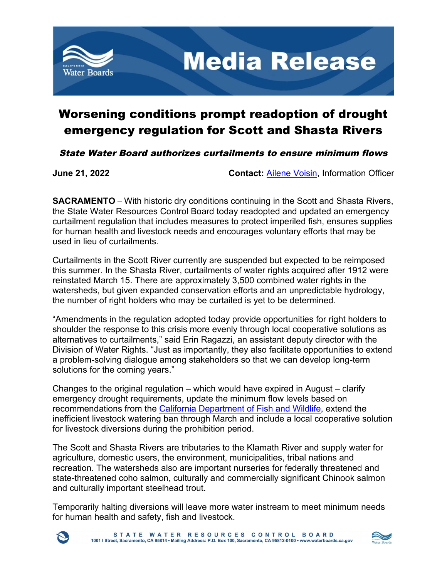

## Worsening conditions prompt readoption of drought emergency regulation for Scott and Shasta Rivers

State Water Board authorizes curtailments to ensure minimum flows

**June 21, 2022 Contact: [Ailene Voisin,](mailto:ailene.voisin) Information Officer** 

**SACRAMENTO** – With historic dry conditions continuing in the Scott and Shasta Rivers, the State Water Resources Control Board today readopted and updated an emergency curtailment regulation that includes measures to protect imperiled fish, ensures supplies for human health and livestock needs and encourages voluntary efforts that may be used in lieu of curtailments.

Curtailments in the Scott River currently are suspended but expected to be reimposed this summer. In the Shasta River, curtailments of water rights acquired after 1912 were reinstated March 15. There are approximately 3,500 combined water rights in the watersheds, but given expanded conservation efforts and an unpredictable hydrology, the number of right holders who may be curtailed is yet to be determined.

"Amendments in the regulation adopted today provide opportunities for right holders to shoulder the response to this crisis more evenly through local cooperative solutions as alternatives to curtailments," said Erin Ragazzi, an assistant deputy director with the Division of Water Rights. "Just as importantly, they also facilitate opportunities to extend a problem-solving dialogue among stakeholders so that we can develop long-term solutions for the coming years."

Changes to the original regulation – which would have expired in August – clarify emergency drought requirements, update the minimum flow levels based on recommendations from the [California Department of Fish and Wildlife,](https://wildlife.ca.gov/Drought) extend the inefficient livestock watering ban through March and include a local cooperative solution for livestock diversions during the prohibition period.

The Scott and Shasta Rivers are tributaries to the Klamath River and supply water for agriculture, domestic users, the environment, municipalities, tribal nations and recreation. The watersheds also are important nurseries for federally threatened and state-threatened coho salmon, culturally and commercially significant Chinook salmon and culturally important steelhead trout.

Temporarily halting diversions will leave more water instream to meet minimum needs for human health and safety, fish and livestock.